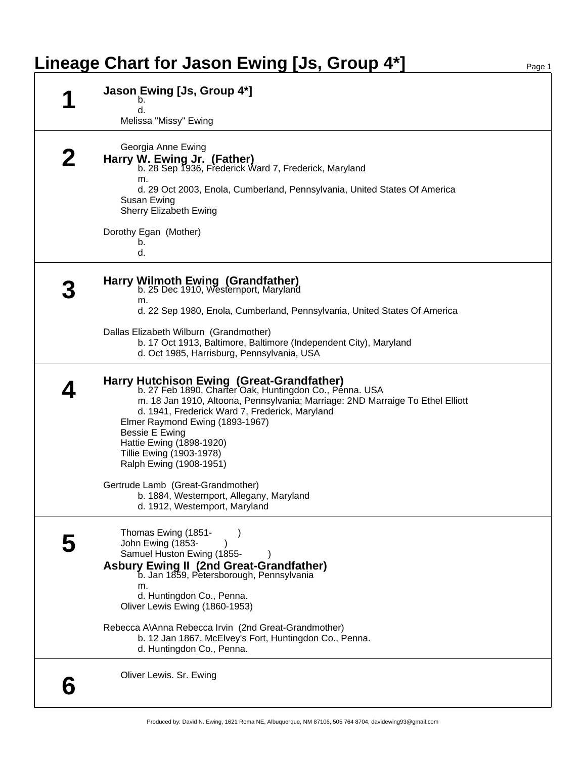## **Lineage Chart for Jason Ewing [Js, Group 4\*]** Page 1

| Jason Ewing [Js, Group 4*]                                                                                                                                                                                                                                                                                                                                                                                                                                                                          |
|-----------------------------------------------------------------------------------------------------------------------------------------------------------------------------------------------------------------------------------------------------------------------------------------------------------------------------------------------------------------------------------------------------------------------------------------------------------------------------------------------------|
| b.<br>d.<br>Melissa "Missy" Ewing                                                                                                                                                                                                                                                                                                                                                                                                                                                                   |
| Georgia Anne Ewing<br>Harry W. Ewing Jr. (Father)<br>b. 28 Sep 1936, Frederick Ward 7, Frederick, Maryland<br>m.<br>d. 29 Oct 2003, Enola, Cumberland, Pennsylvania, United States Of America<br>Susan Ewing<br>Sherry Elizabeth Ewing                                                                                                                                                                                                                                                              |
| Dorothy Egan (Mother)<br>b.<br>d.                                                                                                                                                                                                                                                                                                                                                                                                                                                                   |
| Harry Wilmoth Ewing (Grandfather)<br>b. 25 Dec 1910, Westernport, Maryland<br>m.<br>d. 22 Sep 1980, Enola, Cumberland, Pennsylvania, United States Of America<br>Dallas Elizabeth Wilburn (Grandmother)<br>b. 17 Oct 1913, Baltimore, Baltimore (Independent City), Maryland<br>d. Oct 1985, Harrisburg, Pennsylvania, USA                                                                                                                                                                          |
| Harry Hutchison Ewing (Great-Grandfather)<br>b. 27 Feb 1890, Charter Oak, Huntingdon Co., Pénna. USA<br>m. 18 Jan 1910, Altoona, Pennsylvania; Marriage: 2ND Marraige To Ethel Elliott<br>d. 1941, Frederick Ward 7, Frederick, Maryland<br>Elmer Raymond Ewing (1893-1967)<br>Bessie E Ewing<br>Hattie Ewing (1898-1920)<br>Tillie Ewing (1903-1978)<br>Ralph Ewing (1908-1951)<br>Gertrude Lamb (Great-Grandmother)<br>b. 1884, Westernport, Allegany, Maryland<br>d. 1912, Westernport, Maryland |
| Thomas Ewing (1851-<br>John Ewing (1853-<br>Samuel Huston Ewing (1855-<br><b>Asbury Ewing II (2nd Great-Grandfather)</b><br>b. Jan 1859, Petersborough, Pennsylvania<br>m.<br>d. Huntingdon Co., Penna.<br>Oliver Lewis Ewing (1860-1953)<br>Rebecca A\Anna Rebecca Irvin (2nd Great-Grandmother)<br>b. 12 Jan 1867, McElvey's Fort, Huntingdon Co., Penna.<br>d. Huntingdon Co., Penna.                                                                                                            |
| Oliver Lewis. Sr. Ewing                                                                                                                                                                                                                                                                                                                                                                                                                                                                             |